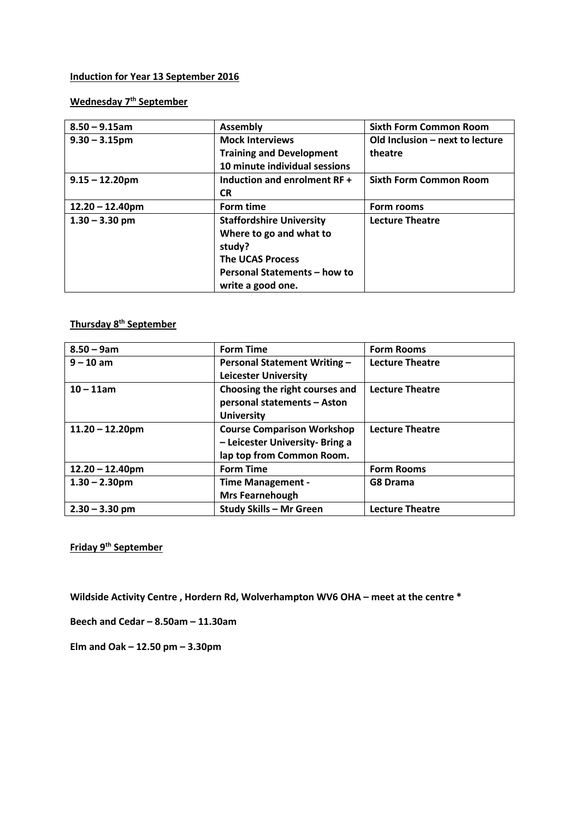## **Induction for Year 13 September 2016**

**Wednesday 7th September** 

| $8.50 - 9.15$ am   | <b>Assembly</b>                 | <b>Sixth Form Common Room</b>   |
|--------------------|---------------------------------|---------------------------------|
| $9.30 - 3.15$ pm   | <b>Mock Interviews</b>          | Old Inclusion - next to lecture |
|                    | <b>Training and Development</b> | theatre                         |
|                    | 10 minute individual sessions   |                                 |
| $9.15 - 12.20$ pm  | Induction and enrolment RF +    | <b>Sixth Form Common Room</b>   |
|                    | <b>CR</b>                       |                                 |
| $12.20 - 12.40$ pm | Form time                       | Form rooms                      |
| $1.30 - 3.30$ pm   | <b>Staffordshire University</b> | <b>Lecture Theatre</b>          |
|                    | Where to go and what to         |                                 |
|                    | study?                          |                                 |
|                    | <b>The UCAS Process</b>         |                                 |
|                    | Personal Statements - how to    |                                 |
|                    | write a good one.               |                                 |

## **Thursday 8th September**

| $8.50 - 9am$       | <b>Form Time</b>                    | <b>Form Rooms</b>      |
|--------------------|-------------------------------------|------------------------|
| $9 - 10$ am        | <b>Personal Statement Writing -</b> | <b>Lecture Theatre</b> |
|                    | <b>Leicester University</b>         |                        |
| $10 - 11$ am       | Choosing the right courses and      | <b>Lecture Theatre</b> |
|                    | personal statements - Aston         |                        |
|                    | <b>University</b>                   |                        |
| $11.20 - 12.20$ pm | <b>Course Comparison Workshop</b>   | <b>Lecture Theatre</b> |
|                    | - Leicester University- Bring a     |                        |
|                    | lap top from Common Room.           |                        |
| $12.20 - 12.40$ pm | <b>Form Time</b>                    | <b>Form Rooms</b>      |
| $1.30 - 2.30$ pm   | <b>Time Management -</b>            | G8 Drama               |
|                    | <b>Mrs Fearnehough</b>              |                        |
| $2.30 - 3.30$ pm   | <b>Study Skills - Mr Green</b>      | <b>Lecture Theatre</b> |

**Friday 9th September** 

**Wildside Activity Centre , Hordern Rd, Wolverhampton WV6 OHA – meet at the centre \*** 

**Beech and Cedar – 8.50am – 11.30am** 

**Elm and Oak – 12.50 pm – 3.30pm**